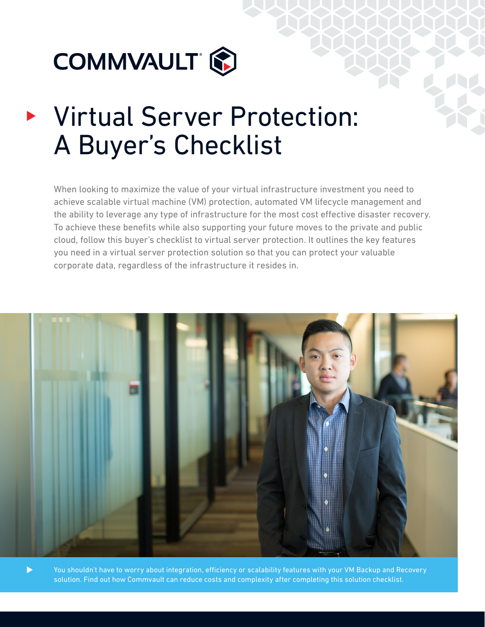

# Virtual Server Protection: A Buyer's Checklist

When looking to maximize the value of your virtual infrastructure investment you need to achieve scalable virtual machine (VM) protection, automated VM lifecycle management and the ability to leverage any type of infrastructure for the most cost effective disaster recovery. To achieve these benefits while also supporting your future moves to the private and public cloud, follow this buyer's checklist to virtual server protection. It outlines the key features you need in a virtual server protection solution so that you can protect your valuable corporate data, regardless of the infrastructure it resides in.



You shouldn't have to worry about integration, efficiency or scalability features with your VM Backup and Recovery solution. Find out how Commvault can reduce costs and complexity after completing this solution checklist.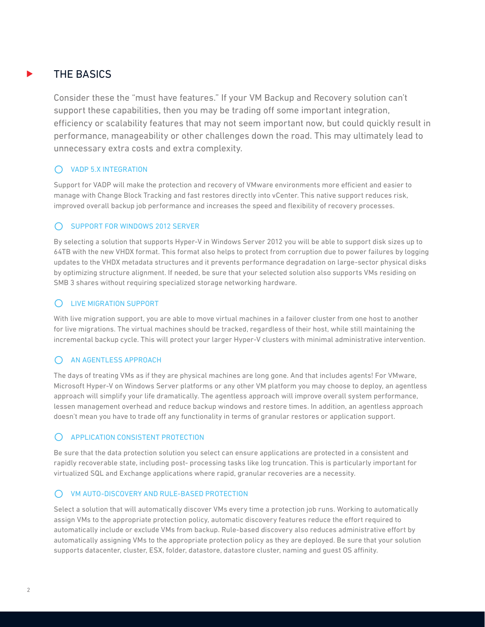## THE BASICS

Consider these the "must have features." If your VM Backup and Recovery solution can't support these capabilities, then you may be trading off some important integration, efficiency or scalability features that may not seem important now, but could quickly result in performance, manageability or other challenges down the road. This may ultimately lead to unnecessary extra costs and extra complexity.

## **O** VADP 5.X INTEGRATION

Support for VADP will make the protection and recovery of VMware environments more efficient and easier to manage with Change Block Tracking and fast restores directly into vCenter. This native support reduces risk, improved overall backup job performance and increases the speed and flexibility of recovery processes.

## **O** SUPPORT FOR WINDOWS 2012 SERVER

By selecting a solution that supports Hyper-V in Windows Server 2012 you will be able to support disk sizes up to 64TB with the new VHDX format. This format also helps to protect from corruption due to power failures by logging updates to the VHDX metadata structures and it prevents performance degradation on large-sector physical disks by optimizing structure alignment. If needed, be sure that your selected solution also supports VMs residing on SMB 3 shares without requiring specialized storage networking hardware.

## O LIVE MIGRATION SUPPORT

With live migration support, you are able to move virtual machines in a failover cluster from one host to another for live migrations. The virtual machines should be tracked, regardless of their host, while still maintaining the incremental backup cycle. This will protect your larger Hyper-V clusters with minimal administrative intervention.

## O AN AGENTLESS APPROACH

The days of treating VMs as if they are physical machines are long gone. And that includes agents! For VMware, Microsoft Hyper-V on Windows Server platforms or any other VM platform you may choose to deploy, an agentless approach will simplify your life dramatically. The agentless approach will improve overall system performance, lessen management overhead and reduce backup windows and restore times. In addition, an agentless approach doesn't mean you have to trade off any functionality in terms of granular restores or application support.

## **C** APPLICATION CONSISTENT PROTECTION

Be sure that the data protection solution you select can ensure applications are protected in a consistent and rapidly recoverable state, including post- processing tasks like log truncation. This is particularly important for virtualized SQL and Exchange applications where rapid, granular recoveries are a necessity.

## O VM AUTO-DISCOVERY AND RULE-BASED PROTECTION

Select a solution that will automatically discover VMs every time a protection job runs. Working to automatically assign VMs to the appropriate protection policy, automatic discovery features reduce the effort required to automatically include or exclude VMs from backup. Rule-based discovery also reduces administrative effort by automatically assigning VMs to the appropriate protection policy as they are deployed. Be sure that your solution supports datacenter, cluster, ESX, folder, datastore, datastore cluster, naming and guest OS affinity.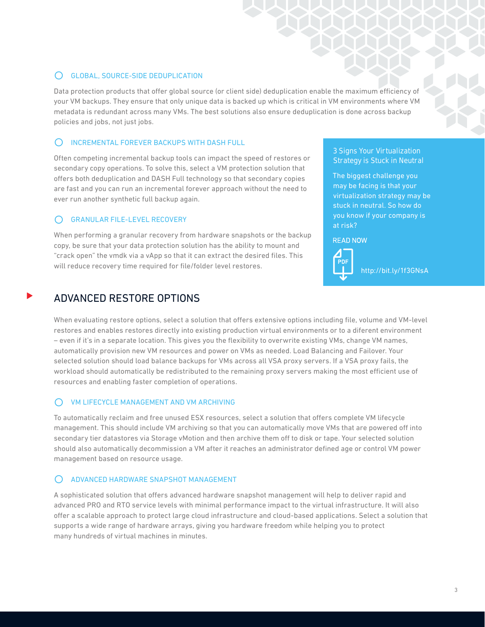## C GLOBAL, SOURCE-SIDE DEDUPLICATION

Data protection products that offer global source (or client side) deduplication enable the maximum efficiency of your VM backups. They ensure that only unique data is backed up which is critical in VM environments where VM metadata is redundant across many VMs. The best solutions also ensure deduplication is done across backup policies and jobs, not just jobs.

## $\bigcap$  INCREMENTAL FOREVER BACKUPS WITH DASH FULL

Often competing incremental backup tools can impact the speed of restores or secondary copy operations. To solve this, select a VM protection solution that offers both deduplication and DASH Full technology so that secondary copies are fast and you can run an incremental forever approach without the need to ever run another synthetic full backup again.

## **GRANULAR FILE-LEVEL RECOVERY**

When performing a granular recovery from hardware snapshots or the backup copy, be sure that your data protection solution has the ability to mount and "crack open" the vmdk via a vApp so that it can extract the desired files. This will reduce recovery time required for file/folder level restores.

## [3 Signs Your Virtualization](http://www.commvault.com/resource-library/5445a275990ebbbd71001759/3-signs-your-virtualization-strategy-is-stuck-in-neutral.pdf)  [Strategy is Stuck in Neutral](http://www.commvault.com/resource-library/5445a275990ebbbd71001759/3-signs-your-virtualization-strategy-is-stuck-in-neutral.pdf)

The biggest challenge you may be facing is that your virtualization strategy may be stuck in neutral. So how do you know if your company is at risk?

**READ NOW** 



[http://bit.ly/1f3GNsA](http://www.commvault.com/resource-library/5445a275990ebbbd71001759/3-signs-your-virtualization-strategy-is-stuck-in-neutral.pdf)

## ADVANCED RESTORE OPTIONS

When evaluating restore options, select a solution that offers extensive options including file, volume and VM-level restores and enables restores directly into existing production virtual environments or to a diferent environment – even if it's in a separate location. This gives you the flexibility to overwrite existing VMs, change VM names, automatically provision new VM resources and power on VMs as needed. Load Balancing and Failover. Your selected solution should load balance backups for VMs across all VSA proxy servers. If a VSA proxy fails, the workload should automatically be redistributed to the remaining proxy servers making the most efficient use of resources and enabling faster completion of operations.

## C VM LIFECYCLE MANAGEMENT AND VM ARCHIVING

To automatically reclaim and free unused ESX resources, select a solution that offers complete VM lifecycle management. This should include VM archiving so that you can automatically move VMs that are powered off into secondary tier datastores via Storage vMotion and then archive them off to disk or tape. Your selected solution should also automatically decommission a VM after it reaches an administrator defined age or control VM power management based on resource usage.

## **O** ADVANCED HARDWARE SNAPSHOT MANAGEMENT

A sophisticated solution that offers advanced hardware snapshot management will help to deliver rapid and advanced PRO and RTO service levels with minimal performance impact to the virtual infrastructure. It will also offer a scalable approach to protect large cloud infrastructure and cloud-based applications. Select a solution that supports a wide range of hardware arrays, giving you hardware freedom while helping you to protect many hundreds of virtual machines in minutes.